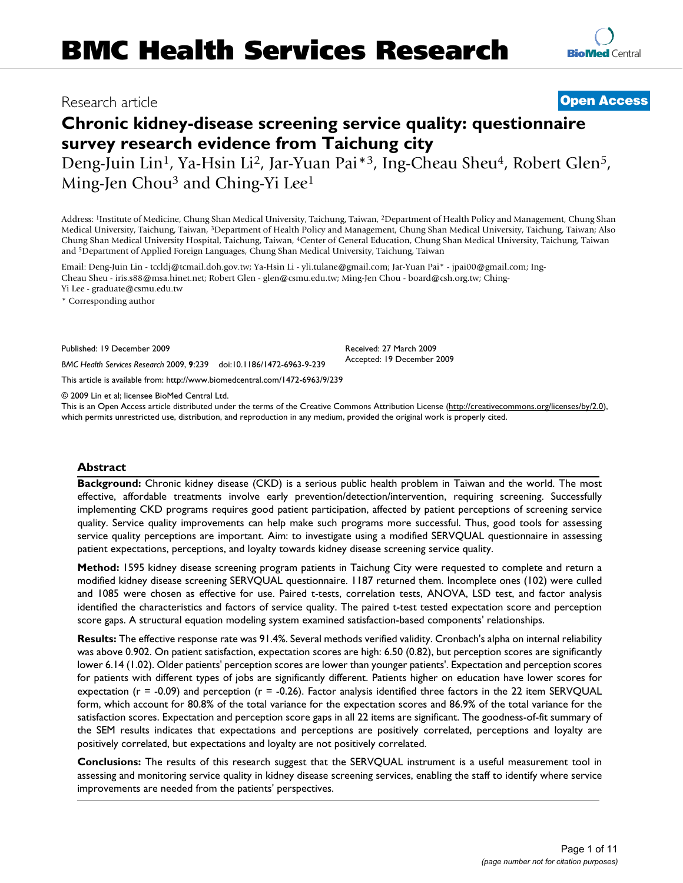# Research article **[Open Access](http://www.biomedcentral.com/info/about/charter/)**

**[BioMed](http://www.biomedcentral.com/)** Central

# **Chronic kidney-disease screening service quality: questionnaire survey research evidence from Taichung city**

Deng-Juin Lin<sup>1</sup>, Ya-Hsin Li<sup>2</sup>, Jar-Yuan Pai<sup>\*3</sup>, Ing-Cheau Sheu<sup>4</sup>, Robert Glen<sup>5</sup>, Ming-Jen Chou<sup>3</sup> and Ching-Yi Lee<sup>1</sup>

Address: 1Institute of Medicine, Chung Shan Medical University, Taichung, Taiwan, 2Department of Health Policy and Management, Chung Shan Medical University, Taichung, Taiwan, 3Department of Health Policy and Management, Chung Shan Medical University, Taichung, Taiwan; Also Chung Shan Medical University Hospital, Taichung, Taiwan, 4Center of General Education, Chung Shan Medical University, Taichung, Taiwan and 5Department of Applied Foreign Languages, Chung Shan Medical University, Taichung, Taiwan

Email: Deng-Juin Lin - tccldj@tcmail.doh.gov.tw; Ya-Hsin Li - yli.tulane@gmail.com; Jar-Yuan Pai\* - jpai00@gmail.com; Ing-Cheau Sheu - iris.s88@msa.hinet.net; Robert Glen - glen@csmu.edu.tw; Ming-Jen Chou - board@csh.org.tw; Ching-Yi Lee - graduate@csmu.edu.tw

\* Corresponding author

Published: 19 December 2009

*BMC Health Services Research* 2009, **9**:239 doi:10.1186/1472-6963-9-239

[This article is available from: http://www.biomedcentral.com/1472-6963/9/239](http://www.biomedcentral.com/1472-6963/9/239)

© 2009 Lin et al; licensee BioMed Central Ltd.

This is an Open Access article distributed under the terms of the Creative Commons Attribution License [\(http://creativecommons.org/licenses/by/2.0\)](http://creativecommons.org/licenses/by/2.0), which permits unrestricted use, distribution, and reproduction in any medium, provided the original work is properly cited.

Received: 27 March 2009 Accepted: 19 December 2009

# **Abstract**

**Background:** Chronic kidney disease (CKD) is a serious public health problem in Taiwan and the world. The most effective, affordable treatments involve early prevention/detection/intervention, requiring screening. Successfully implementing CKD programs requires good patient participation, affected by patient perceptions of screening service quality. Service quality improvements can help make such programs more successful. Thus, good tools for assessing service quality perceptions are important. Aim: to investigate using a modified SERVQUAL questionnaire in assessing patient expectations, perceptions, and loyalty towards kidney disease screening service quality.

**Method:** 1595 kidney disease screening program patients in Taichung City were requested to complete and return a modified kidney disease screening SERVQUAL questionnaire. 1187 returned them. Incomplete ones (102) were culled and 1085 were chosen as effective for use. Paired t-tests, correlation tests, ANOVA, LSD test, and factor analysis identified the characteristics and factors of service quality. The paired t-test tested expectation score and perception score gaps. A structural equation modeling system examined satisfaction-based components' relationships.

**Results:** The effective response rate was 91.4%. Several methods verified validity. Cronbach's alpha on internal reliability was above 0.902. On patient satisfaction, expectation scores are high: 6.50 (0.82), but perception scores are significantly lower 6.14 (1.02). Older patients' perception scores are lower than younger patients'. Expectation and perception scores for patients with different types of jobs are significantly different. Patients higher on education have lower scores for expectation ( $r = -0.09$ ) and perception ( $r = -0.26$ ). Factor analysis identified three factors in the 22 item SERVQUAL form, which account for 80.8% of the total variance for the expectation scores and 86.9% of the total variance for the satisfaction scores. Expectation and perception score gaps in all 22 items are significant. The goodness-of-fit summary of the SEM results indicates that expectations and perceptions are positively correlated, perceptions and loyalty are positively correlated, but expectations and loyalty are not positively correlated.

**Conclusions:** The results of this research suggest that the SERVQUAL instrument is a useful measurement tool in assessing and monitoring service quality in kidney disease screening services, enabling the staff to identify where service improvements are needed from the patients' perspectives.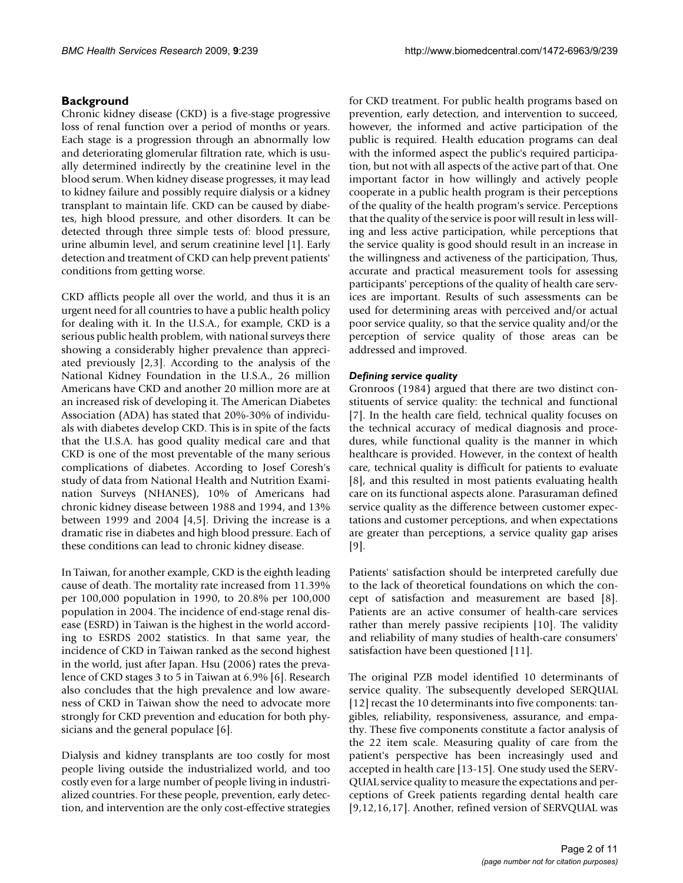# **Background**

Chronic kidney disease (CKD) is a five-stage progressive loss of renal function over a period of months or years. Each stage is a progression through an abnormally low and deteriorating glomerular filtration rate, which is usually determined indirectly by the creatinine level in the blood serum. When kidney disease progresses, it may lead to kidney failure and possibly require dialysis or a kidney transplant to maintain life. CKD can be caused by diabetes, high blood pressure, and other disorders. It can be detected through three simple tests of: blood pressure, urine albumin level, and serum creatinine level [1]. Early detection and treatment of CKD can help prevent patients' conditions from getting worse.

CKD afflicts people all over the world, and thus it is an urgent need for all countries to have a public health policy for dealing with it. In the U.S.A., for example, CKD is a serious public health problem, with national surveys there showing a considerably higher prevalence than appreciated previously [2,3]. According to the analysis of the National Kidney Foundation in the U.S.A., 26 million Americans have CKD and another 20 million more are at an increased risk of developing it. The American Diabetes Association (ADA) has stated that 20%-30% of individuals with diabetes develop CKD. This is in spite of the facts that the U.S.A. has good quality medical care and that CKD is one of the most preventable of the many serious complications of diabetes. According to Josef Coresh's study of data from National Health and Nutrition Examination Surveys (NHANES), 10% of Americans had chronic kidney disease between 1988 and 1994, and 13% between 1999 and 2004 [4,5]. Driving the increase is a dramatic rise in diabetes and high blood pressure. Each of these conditions can lead to chronic kidney disease.

In Taiwan, for another example, CKD is the eighth leading cause of death. The mortality rate increased from 11.39% per 100,000 population in 1990, to 20.8% per 100,000 population in 2004. The incidence of end-stage renal disease (ESRD) in Taiwan is the highest in the world according to ESRDS 2002 statistics. In that same year, the incidence of CKD in Taiwan ranked as the second highest in the world, just after Japan. Hsu (2006) rates the prevalence of CKD stages 3 to 5 in Taiwan at 6.9% [6]. Research also concludes that the high prevalence and low awareness of CKD in Taiwan show the need to advocate more strongly for CKD prevention and education for both physicians and the general populace [6].

Dialysis and kidney transplants are too costly for most people living outside the industrialized world, and too costly even for a large number of people living in industrialized countries. For these people, prevention, early detection, and intervention are the only cost-effective strategies

for CKD treatment. For public health programs based on prevention, early detection, and intervention to succeed, however, the informed and active participation of the public is required. Health education programs can deal with the informed aspect the public's required participation, but not with all aspects of the active part of that. One important factor in how willingly and actively people cooperate in a public health program is their perceptions of the quality of the health program's service. Perceptions that the quality of the service is poor will result in less willing and less active participation, while perceptions that the service quality is good should result in an increase in the willingness and activeness of the participation, Thus, accurate and practical measurement tools for assessing participants' perceptions of the quality of health care services are important. Results of such assessments can be used for determining areas with perceived and/or actual poor service quality, so that the service quality and/or the perception of service quality of those areas can be addressed and improved.

# *Defining service quality*

Gronroos (1984) argued that there are two distinct constituents of service quality: the technical and functional [7]. In the health care field, technical quality focuses on the technical accuracy of medical diagnosis and procedures, while functional quality is the manner in which healthcare is provided. However, in the context of health care, technical quality is difficult for patients to evaluate [8], and this resulted in most patients evaluating health care on its functional aspects alone. Parasuraman defined service quality as the difference between customer expectations and customer perceptions, and when expectations are greater than perceptions, a service quality gap arises [9].

Patients' satisfaction should be interpreted carefully due to the lack of theoretical foundations on which the concept of satisfaction and measurement are based [8]. Patients are an active consumer of health-care services rather than merely passive recipients [10]. The validity and reliability of many studies of health-care consumers' satisfaction have been questioned [11].

The original PZB model identified 10 determinants of service quality. The subsequently developed SERQUAL [12] recast the 10 determinants into five components: tangibles, reliability, responsiveness, assurance, and empathy. These five components constitute a factor analysis of the 22 item scale. Measuring quality of care from the patient's perspective has been increasingly used and accepted in health care [13-15]. One study used the SERV-QUAL service quality to measure the expectations and perceptions of Greek patients regarding dental health care [9,12,16,17]. Another, refined version of SERVQUAL was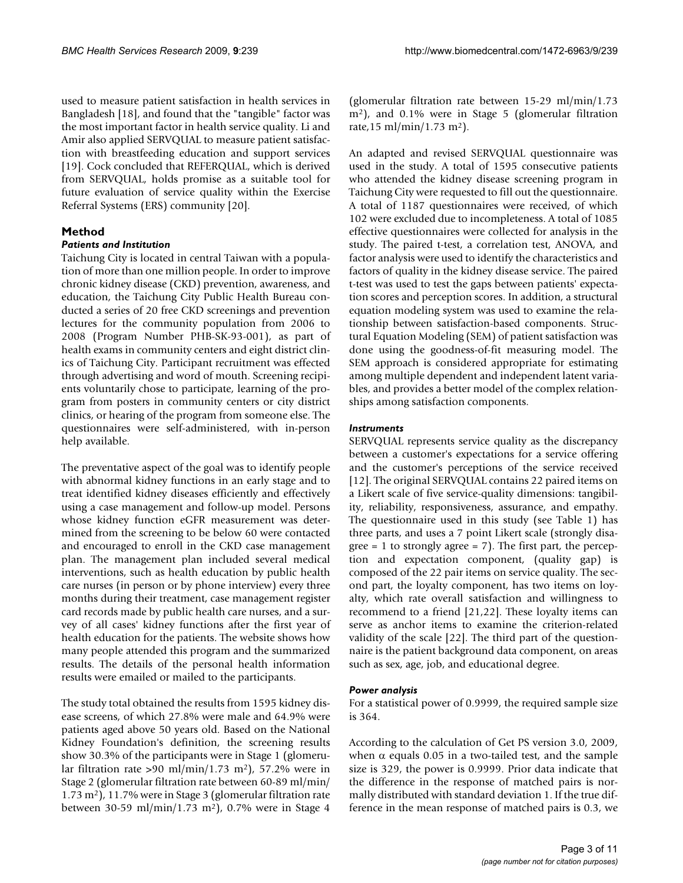used to measure patient satisfaction in health services in Bangladesh [18], and found that the "tangible" factor was the most important factor in health service quality. Li and Amir also applied SERVQUAL to measure patient satisfaction with breastfeeding education and support services [19]. Cock concluded that REFERQUAL, which is derived from SERVQUAL, holds promise as a suitable tool for future evaluation of service quality within the Exercise Referral Systems (ERS) community [20].

# **Method**

# *Patients and Institution*

Taichung City is located in central Taiwan with a population of more than one million people. In order to improve chronic kidney disease (CKD) prevention, awareness, and education, the Taichung City Public Health Bureau conducted a series of 20 free CKD screenings and prevention lectures for the community population from 2006 to 2008 (Program Number PHB-SK-93-001), as part of health exams in community centers and eight district clinics of Taichung City. Participant recruitment was effected through advertising and word of mouth. Screening recipients voluntarily chose to participate, learning of the program from posters in community centers or city district clinics, or hearing of the program from someone else. The questionnaires were self-administered, with in-person help available.

The preventative aspect of the goal was to identify people with abnormal kidney functions in an early stage and to treat identified kidney diseases efficiently and effectively using a case management and follow-up model. Persons whose kidney function eGFR measurement was determined from the screening to be below 60 were contacted and encouraged to enroll in the CKD case management plan. The management plan included several medical interventions, such as health education by public health care nurses (in person or by phone interview) every three months during their treatment, case management register card records made by public health care nurses, and a survey of all cases' kidney functions after the first year of health education for the patients. The website shows how many people attended this program and the summarized results. The details of the personal health information results were emailed or mailed to the participants.

The study total obtained the results from 1595 kidney disease screens, of which 27.8% were male and 64.9% were patients aged above 50 years old. Based on the National Kidney Foundation's definition, the screening results show 30.3% of the participants were in Stage 1 (glomerular filtration rate >90 ml/min/1.73 m<sup>2</sup>), 57.2% were in Stage 2 (glomerular filtration rate between 60-89 ml/min/ 1.73 m2), 11.7% were in Stage 3 (glomerular filtration rate between 30-59 ml/min/1.73 m2), 0.7% were in Stage 4

(glomerular filtration rate between 15-29 ml/min/1.73 m2), and 0.1% were in Stage 5 (glomerular filtration rate,15 ml/min/1.73 m2).

An adapted and revised SERVQUAL questionnaire was used in the study. A total of 1595 consecutive patients who attended the kidney disease screening program in Taichung City were requested to fill out the questionnaire. A total of 1187 questionnaires were received, of which 102 were excluded due to incompleteness. A total of 1085 effective questionnaires were collected for analysis in the study. The paired t-test, a correlation test, ANOVA, and factor analysis were used to identify the characteristics and factors of quality in the kidney disease service. The paired t-test was used to test the gaps between patients' expectation scores and perception scores. In addition, a structural equation modeling system was used to examine the relationship between satisfaction-based components. Structural Equation Modeling (SEM) of patient satisfaction was done using the goodness-of-fit measuring model. The SEM approach is considered appropriate for estimating among multiple dependent and independent latent variables, and provides a better model of the complex relationships among satisfaction components.

# *Instruments*

SERVQUAL represents service quality as the discrepancy between a customer's expectations for a service offering and the customer's perceptions of the service received [12]. The original SERVQUAL contains 22 paired items on a Likert scale of five service-quality dimensions: tangibility, reliability, responsiveness, assurance, and empathy. The questionnaire used in this study (see Table 1) has three parts, and uses a 7 point Likert scale (strongly disa- $\text{gree} = 1$  to strongly agree = 7). The first part, the perception and expectation component, (quality gap) is composed of the 22 pair items on service quality. The second part, the loyalty component, has two items on loyalty, which rate overall satisfaction and willingness to recommend to a friend [21,22]. These loyalty items can serve as anchor items to examine the criterion-related validity of the scale [22]. The third part of the questionnaire is the patient background data component, on areas such as sex, age, job, and educational degree.

#### *Power analysis*

For a statistical power of 0.9999, the required sample size is 364.

According to the calculation of Get PS version 3.0, 2009, when  $\alpha$  equals 0.05 in a two-tailed test, and the sample size is 329, the power is 0.9999. Prior data indicate that the difference in the response of matched pairs is normally distributed with standard deviation 1. If the true difference in the mean response of matched pairs is 0.3, we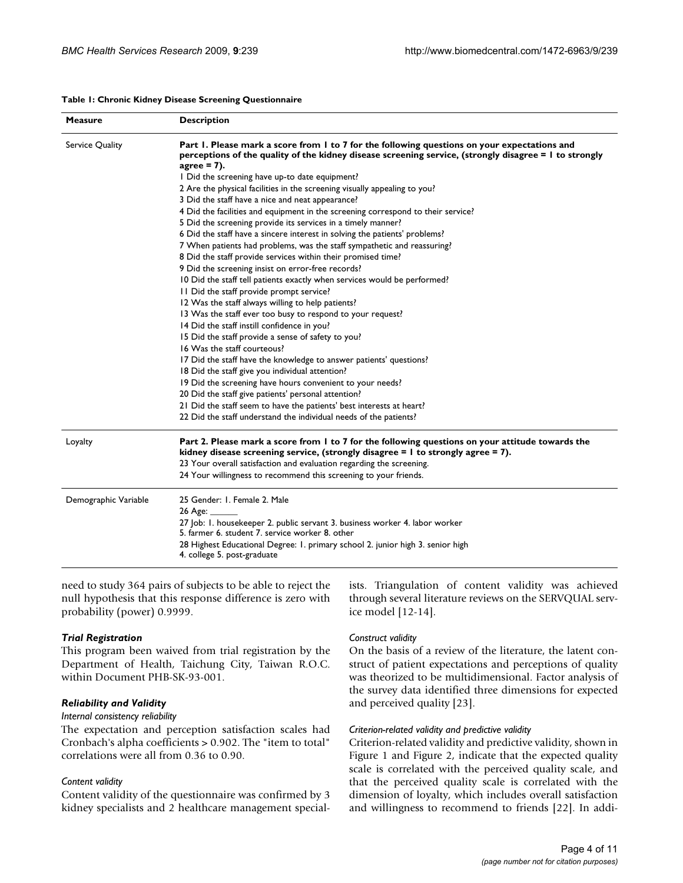| <b>Measure</b>       | <b>Description</b>                                                                                                                                                                                                                                                |  |  |  |  |  |  |
|----------------------|-------------------------------------------------------------------------------------------------------------------------------------------------------------------------------------------------------------------------------------------------------------------|--|--|--|--|--|--|
| Service Quality      | Part I. Please mark a score from I to 7 for the following questions on your expectations and<br>perceptions of the quality of the kidney disease screening service, (strongly disagree = 1 to strongly<br>$agree = 7$ ).                                          |  |  |  |  |  |  |
|                      | I Did the screening have up-to date equipment?                                                                                                                                                                                                                    |  |  |  |  |  |  |
|                      | 2 Are the physical facilities in the screening visually appealing to you?                                                                                                                                                                                         |  |  |  |  |  |  |
|                      | 3 Did the staff have a nice and neat appearance?                                                                                                                                                                                                                  |  |  |  |  |  |  |
|                      | 4 Did the facilities and equipment in the screening correspond to their service?                                                                                                                                                                                  |  |  |  |  |  |  |
|                      | 5 Did the screening provide its services in a timely manner?                                                                                                                                                                                                      |  |  |  |  |  |  |
|                      | 6 Did the staff have a sincere interest in solving the patients' problems?                                                                                                                                                                                        |  |  |  |  |  |  |
|                      | 7 When patients had problems, was the staff sympathetic and reassuring?                                                                                                                                                                                           |  |  |  |  |  |  |
|                      | 8 Did the staff provide services within their promised time?                                                                                                                                                                                                      |  |  |  |  |  |  |
|                      | 9 Did the screening insist on error-free records?                                                                                                                                                                                                                 |  |  |  |  |  |  |
|                      | 10 Did the staff tell patients exactly when services would be performed?                                                                                                                                                                                          |  |  |  |  |  |  |
|                      | II Did the staff provide prompt service?                                                                                                                                                                                                                          |  |  |  |  |  |  |
|                      | 12 Was the staff always willing to help patients?                                                                                                                                                                                                                 |  |  |  |  |  |  |
|                      | 13 Was the staff ever too busy to respond to your request?                                                                                                                                                                                                        |  |  |  |  |  |  |
|                      | 14 Did the staff instill confidence in you?                                                                                                                                                                                                                       |  |  |  |  |  |  |
|                      | 15 Did the staff provide a sense of safety to you?                                                                                                                                                                                                                |  |  |  |  |  |  |
|                      | 16 Was the staff courteous?                                                                                                                                                                                                                                       |  |  |  |  |  |  |
|                      | 17 Did the staff have the knowledge to answer patients' questions?                                                                                                                                                                                                |  |  |  |  |  |  |
|                      | 18 Did the staff give you individual attention?                                                                                                                                                                                                                   |  |  |  |  |  |  |
|                      | 19 Did the screening have hours convenient to your needs?                                                                                                                                                                                                         |  |  |  |  |  |  |
|                      | 20 Did the staff give patients' personal attention?                                                                                                                                                                                                               |  |  |  |  |  |  |
|                      | 21 Did the staff seem to have the patients' best interests at heart?                                                                                                                                                                                              |  |  |  |  |  |  |
|                      | 22 Did the staff understand the individual needs of the patients?                                                                                                                                                                                                 |  |  |  |  |  |  |
| Loyalty              | Part 2. Please mark a score from 1 to 7 for the following questions on your attitude towards the<br>kidney disease screening service, (strongly disagree $= 1$ to strongly agree $= 7$ ).<br>23 Your overall satisfaction and evaluation regarding the screening. |  |  |  |  |  |  |
|                      | 24 Your willingness to recommend this screening to your friends.                                                                                                                                                                                                  |  |  |  |  |  |  |
|                      |                                                                                                                                                                                                                                                                   |  |  |  |  |  |  |
| Demographic Variable | 25 Gender: I. Female 2. Male                                                                                                                                                                                                                                      |  |  |  |  |  |  |
|                      | $26$ Age:                                                                                                                                                                                                                                                         |  |  |  |  |  |  |
|                      | 27 Job: I. housekeeper 2. public servant 3. business worker 4. labor worker                                                                                                                                                                                       |  |  |  |  |  |  |
|                      | 5. farmer 6. student 7. service worker 8. other                                                                                                                                                                                                                   |  |  |  |  |  |  |
|                      | 28 Highest Educational Degree: 1. primary school 2. junior high 3. senior high<br>4. college 5. post-graduate                                                                                                                                                     |  |  |  |  |  |  |

#### **Table 1: Chronic Kidney Disease Screening Questionnaire**

need to study 364 pairs of subjects to be able to reject the null hypothesis that this response difference is zero with probability (power) 0.9999.

#### *Trial Registration*

This program been waived from trial registration by the Department of Health, Taichung City, Taiwan R.O.C. within Document PHB-SK-93-001.

# *Reliability and Validity*

#### *Internal consistency reliability*

The expectation and perception satisfaction scales had Cronbach's alpha coefficients > 0.902. The "item to total" correlations were all from 0.36 to 0.90.

#### *Content validity*

Content validity of the questionnaire was confirmed by 3 kidney specialists and 2 healthcare management specialists. Triangulation of content validity was achieved through several literature reviews on the SERVQUAL service model [12-14].

# *Construct validity*

On the basis of a review of the literature, the latent construct of patient expectations and perceptions of quality was theorized to be multidimensional. Factor analysis of the survey data identified three dimensions for expected and perceived quality [23].

#### *Criterion-related validity and predictive validity*

Criterion-related validity and predictive validity, shown in Figure 1 and Figure 2, indicate that the expected quality scale is correlated with the perceived quality scale, and that the perceived quality scale is correlated with the dimension of loyalty, which includes overall satisfaction and willingness to recommend to friends [22]. In addi-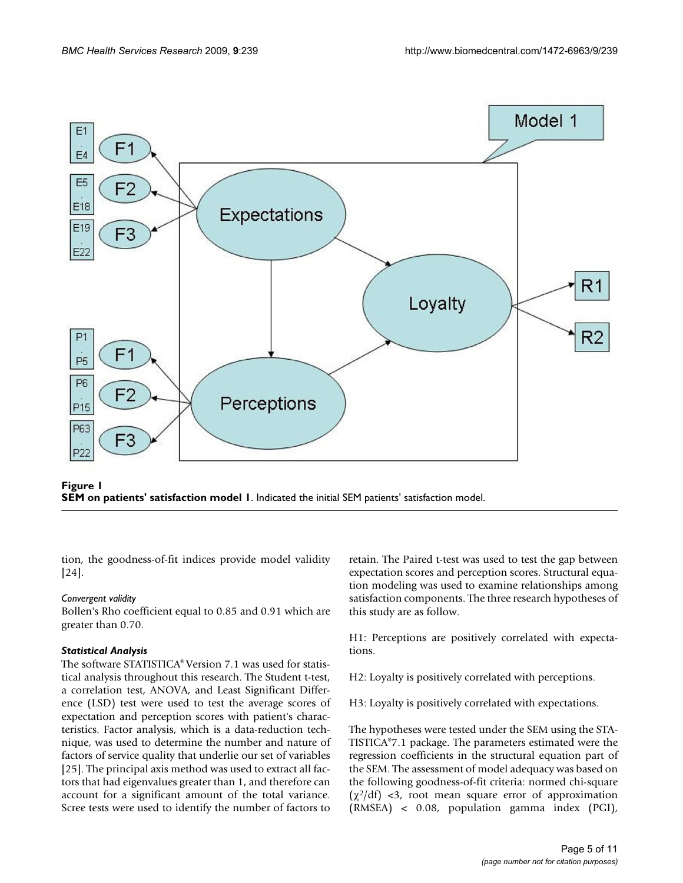



tion, the goodness-of-fit indices provide model validity [24].

# *Convergent validity*

Bollen's Rho coefficient equal to 0.85 and 0.91 which are greater than 0.70.

# *Statistical Analysis*

The software STATISTICA® Version 7.1 was used for statistical analysis throughout this research. The Student t-test, a correlation test, ANOVA, and Least Significant Difference (LSD) test were used to test the average scores of expectation and perception scores with patient's characteristics. Factor analysis, which is a data-reduction technique, was used to determine the number and nature of factors of service quality that underlie our set of variables [25]. The principal axis method was used to extract all factors that had eigenvalues greater than 1, and therefore can account for a significant amount of the total variance. Scree tests were used to identify the number of factors to retain. The Paired t-test was used to test the gap between expectation scores and perception scores. Structural equation modeling was used to examine relationships among satisfaction components. The three research hypotheses of this study are as follow.

H1: Perceptions are positively correlated with expectations.

H2: Loyalty is positively correlated with perceptions.

H3: Loyalty is positively correlated with expectations.

The hypotheses were tested under the SEM using the STA-TISTICA®7.1 package. The parameters estimated were the regression coefficients in the structural equation part of the SEM. The assessment of model adequacy was based on the following goodness-of-fit criteria: normed chi-square  $(\chi^2/df)$  <3, root mean square error of approximation (RMSEA) < 0.08, population gamma index (PGI),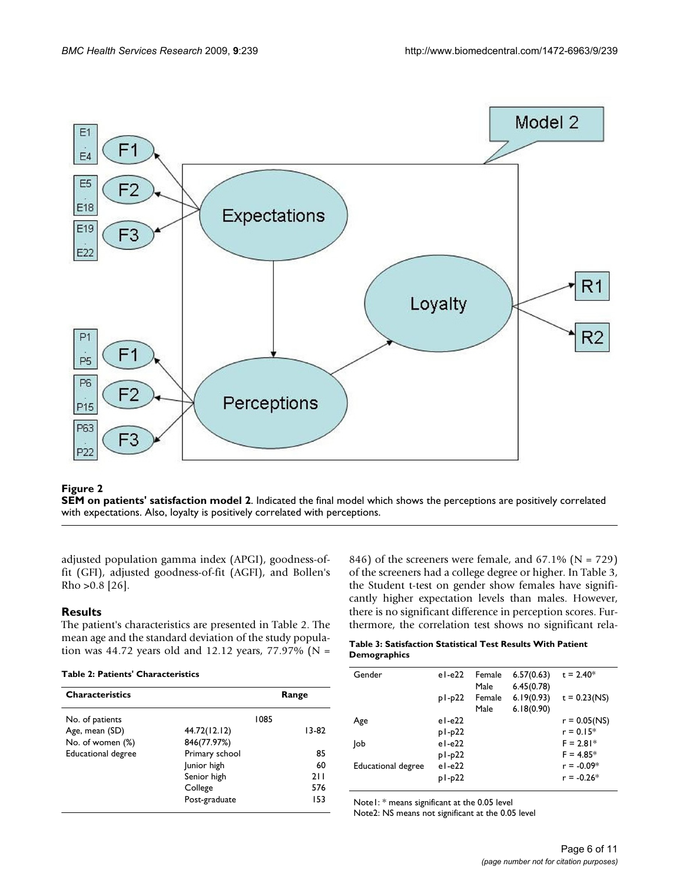

# **Figure 2**

**SEM on patients' satisfaction model 2**. Indicated the final model which shows the perceptions are positively correlated with expectations. Also, loyalty is positively correlated with perceptions.

adjusted population gamma index (APGI), goodness-offit (GFI), adjusted goodness-of-fit (AGFI), and Bollen's Rho >0.8 [26].

# **Results**

The patient's characteristics are presented in Table 2. The mean age and the standard deviation of the study population was 44.72 years old and 12.12 years, 77.97% (N =

# **Table 2: Patients' Characteristics**

| <b>Characteristics</b>    | Range          |       |
|---------------------------|----------------|-------|
| No. of patients           |                | 1085  |
| Age, mean (SD)            | 44.72(12.12)   | 13-82 |
| No. of women (%)          | 846(77.97%)    |       |
| <b>Educational degree</b> | Primary school | 85    |
|                           | Junior high    | 60    |
|                           | Senior high    | 211   |
|                           | College        | 576   |
|                           | Post-graduate  | 153   |

846) of the screeners were female, and  $67.1\%$  (N = 729) of the screeners had a college degree or higher. In Table 3, the Student t-test on gender show females have significantly higher expectation levels than males. However, there is no significant difference in perception scores. Furthermore, the correlation test shows no significant rela-

| Table 3: Satisfaction Statistical Test Results With Patient |  |  |
|-------------------------------------------------------------|--|--|
| <b>Demographics</b>                                         |  |  |

| Gender             | el-e22   | Female | 6.57(0.63) | $t = 2.40*$     |
|--------------------|----------|--------|------------|-----------------|
|                    |          | Male   | 6.45(0.78) |                 |
|                    | pl-p22   | Female | 6.19(0.93) | $t = 0.23$ (NS) |
|                    |          | Male   | 6.18(0.90) |                 |
| Age                | $el-e22$ |        |            | $r = 0.05(NS)$  |
|                    | pl-p22   |        |            | $r = 0.15*$     |
| Job                | el-e22   |        |            | $F = 2.81*$     |
|                    | pl-p22   |        |            | $F = 4.85*$     |
| Educational degree | $el-e22$ |        |            | $r = -0.09*$    |
|                    | pl-p22   |        |            | $r = -0.26*$    |
|                    |          |        |            |                 |

Note1: \* means significant at the 0.05 level

Note2: NS means not significant at the 0.05 level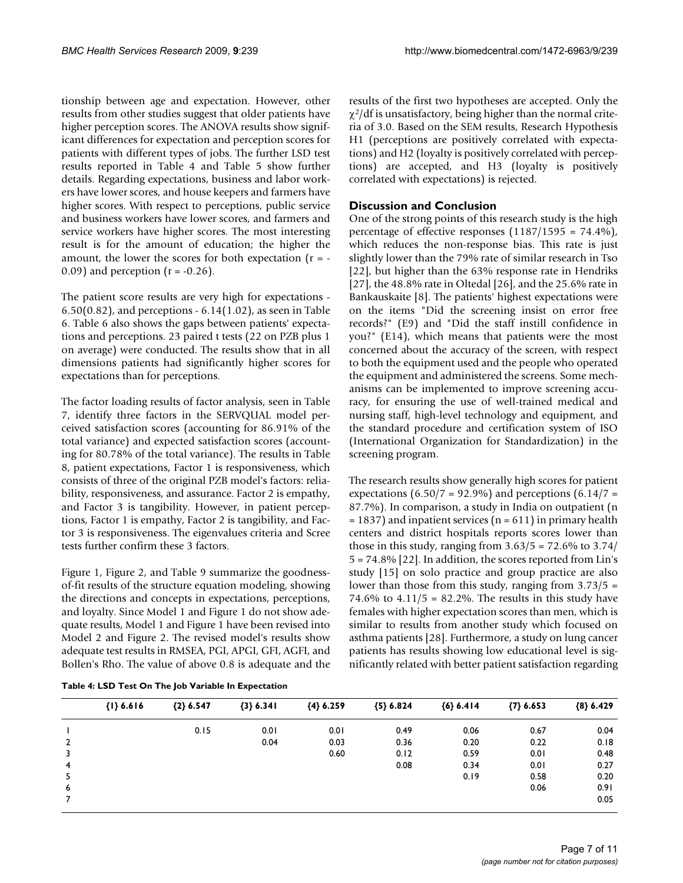tionship between age and expectation. However, other results from other studies suggest that older patients have higher perception scores. The ANOVA results show significant differences for expectation and perception scores for patients with different types of jobs. The further LSD test results reported in Table 4 and Table 5 show further details. Regarding expectations, business and labor workers have lower scores, and house keepers and farmers have higher scores. With respect to perceptions, public service and business workers have lower scores, and farmers and service workers have higher scores. The most interesting result is for the amount of education; the higher the amount, the lower the scores for both expectation  $(r = -1)$ 0.09) and perception ( $r = -0.26$ ).

The patient score results are very high for expectations - 6.50(0.82), and perceptions - 6.14(1.02), as seen in Table 6. Table 6 also shows the gaps between patients' expectations and perceptions. 23 paired t tests (22 on PZB plus 1 on average) were conducted. The results show that in all dimensions patients had significantly higher scores for expectations than for perceptions.

The factor loading results of factor analysis, seen in Table 7, identify three factors in the SERVQUAL model perceived satisfaction scores (accounting for 86.91% of the total variance) and expected satisfaction scores (accounting for 80.78% of the total variance). The results in Table 8, patient expectations, Factor 1 is responsiveness, which consists of three of the original PZB model's factors: reliability, responsiveness, and assurance. Factor 2 is empathy, and Factor 3 is tangibility. However, in patient perceptions, Factor 1 is empathy, Factor 2 is tangibility, and Factor 3 is responsiveness. The eigenvalues criteria and Scree tests further confirm these 3 factors.

Figure 1, Figure 2, and Table 9 summarize the goodnessof-fit results of the structure equation modeling, showing the directions and concepts in expectations, perceptions, and loyalty. Since Model 1 and Figure 1 do not show adequate results, Model 1 and Figure 1 have been revised into Model 2 and Figure 2. The revised model's results show adequate test results in RMSEA, PGI, APGI, GFI, AGFI, and Bollen's Rho. The value of above 0.8 is adequate and the results of the first two hypotheses are accepted. Only the  $\chi^2$ /df is unsatisfactory, being higher than the normal criteria of 3.0. Based on the SEM results, Research Hypothesis H1 (perceptions are positively correlated with expectations) and H2 (loyalty is positively correlated with perceptions) are accepted, and H3 (loyalty is positively correlated with expectations) is rejected.

# **Discussion and Conclusion**

One of the strong points of this research study is the high percentage of effective responses  $(1187/1595 = 74.4\%)$ , which reduces the non-response bias. This rate is just slightly lower than the 79% rate of similar research in Tso [22], but higher than the 63% response rate in Hendriks [27], the 48.8% rate in Oltedal [26], and the 25.6% rate in Bankauskaite [8]. The patients' highest expectations were on the items "Did the screening insist on error free records?" (E9) and "Did the staff instill confidence in you?" (E14), which means that patients were the most concerned about the accuracy of the screen, with respect to both the equipment used and the people who operated the equipment and administered the screens. Some mechanisms can be implemented to improve screening accuracy, for ensuring the use of well-trained medical and nursing staff, high-level technology and equipment, and the standard procedure and certification system of ISO (International Organization for Standardization) in the screening program.

The research results show generally high scores for patient expectations  $(6.50/7 = 92.9\%)$  and perceptions  $(6.14/7 =$ 87.7%). In comparison, a study in India on outpatient (n  $= 1837$ ) and inpatient services (n = 611) in primary health centers and district hospitals reports scores lower than those in this study, ranging from  $3.63/5 = 72.6\%$  to  $3.74/$ 5 = 74.8% [22]. In addition, the scores reported from Lin's study [15] on solo practice and group practice are also lower than those from this study, ranging from  $3.73/5 =$ 74.6% to  $4.11/5 = 82.2$ %. The results in this study have females with higher expectation scores than men, which is similar to results from another study which focused on asthma patients [28]. Furthermore, a study on lung cancer patients has results showing low educational level is significantly related with better patient satisfaction regarding

|  | Table 4: LSD Test On The Job Variable In Expectation |
|--|------------------------------------------------------|
|--|------------------------------------------------------|

|                | $\{1\}$ 6.616 | ${2}6.547$ | ${3}6.341$ | ${4}6.259$ | ${5}6.824$ | ${6}6.414$ | ${7}6.653$ | ${8}6.429$ |
|----------------|---------------|------------|------------|------------|------------|------------|------------|------------|
|                |               | 0.15       | 0.01       | 0.01       | 0.49       | 0.06       | 0.67       | 0.04       |
| $\overline{2}$ |               |            | 0.04       | 0.03       | 0.36       | 0.20       | 0.22       | 0.18       |
| 3              |               |            |            | 0.60       | 0.12       | 0.59       | 0.01       | 0.48       |
| $\overline{4}$ |               |            |            |            | 0.08       | 0.34       | 0.01       | 0.27       |
| 5              |               |            |            |            |            | 0.19       | 0.58       | 0.20       |
| 6              |               |            |            |            |            |            | 0.06       | 0.91       |
| 7              |               |            |            |            |            |            |            | 0.05       |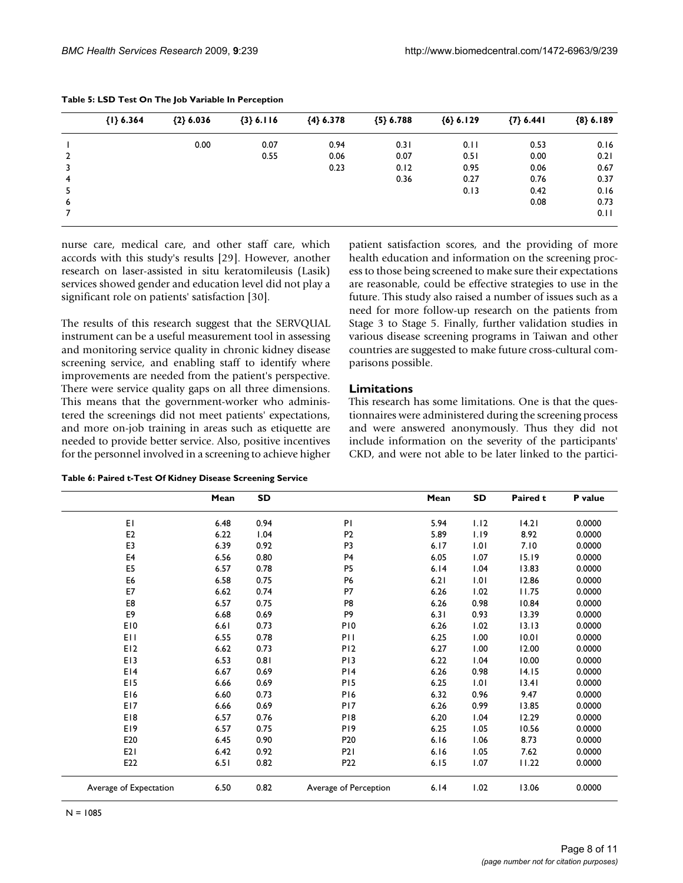|                | $\{1\}$ 6.364 | ${2}6.036$ | $\{3\}$ 6.116 | ${4}6.378$ | ${5}6.788$ | ${6}6.129$ | ${7}6.441$ | ${8}6.189$ |
|----------------|---------------|------------|---------------|------------|------------|------------|------------|------------|
|                |               | 0.00       | 0.07          | 0.94       | 0.31       | 0.11       | 0.53       | 0.16       |
| $\mathbf{2}$   |               |            | 0.55          | 0.06       | 0.07       | 0.51       | 0.00       | 0.21       |
| 3              |               |            |               | 0.23       | 0.12       | 0.95       | 0.06       | 0.67       |
| $\overline{4}$ |               |            |               |            | 0.36       | 0.27       | 0.76       | 0.37       |
| 5              |               |            |               |            |            | 0.13       | 0.42       | 0.16       |
| 6              |               |            |               |            |            |            | 0.08       | 0.73       |
|                |               |            |               |            |            |            |            | 0.11       |

**Table 5: LSD Test On The Job Variable In Perception**

nurse care, medical care, and other staff care, which accords with this study's results [29]. However, another research on laser-assisted in situ keratomileusis (Lasik) services showed gender and education level did not play a significant role on patients' satisfaction [30].

The results of this research suggest that the SERVQUAL instrument can be a useful measurement tool in assessing and monitoring service quality in chronic kidney disease screening service, and enabling staff to identify where improvements are needed from the patient's perspective. There were service quality gaps on all three dimensions. This means that the government-worker who administered the screenings did not meet patients' expectations, and more on-job training in areas such as etiquette are needed to provide better service. Also, positive incentives for the personnel involved in a screening to achieve higher

| Table 6: Paired t-Test Of Kidney Disease Screening Service |  |
|------------------------------------------------------------|--|
|------------------------------------------------------------|--|

patient satisfaction scores, and the providing of more health education and information on the screening process to those being screened to make sure their expectations are reasonable, could be effective strategies to use in the future. This study also raised a number of issues such as a need for more follow-up research on the patients from Stage 3 to Stage 5. Finally, further validation studies in various disease screening programs in Taiwan and other countries are suggested to make future cross-cultural comparisons possible.

# **Limitations**

This research has some limitations. One is that the questionnaires were administered during the screening process and were answered anonymously. Thus they did not include information on the severity of the participants' CKD, and were not able to be later linked to the partici-

|                        | Mean | <b>SD</b> |                       | Mean | SD   | Paired t | P value |
|------------------------|------|-----------|-----------------------|------|------|----------|---------|
| EI                     | 6.48 | 0.94      | PI                    | 5.94 | 1.12 | 14.21    | 0.0000  |
| E <sub>2</sub>         | 6.22 | 1.04      | P <sub>2</sub>        | 5.89 | 1.19 | 8.92     | 0.0000  |
| E3                     | 6.39 | 0.92      | P <sub>3</sub>        | 6.17 | 1.01 | 7.10     | 0.0000  |
| E <sub>4</sub>         | 6.56 | 0.80      | P <sub>4</sub>        | 6.05 | 1.07 | 15.19    | 0.0000  |
| E <sub>5</sub>         | 6.57 | 0.78      | <b>P5</b>             | 6.14 | 1.04 | 13.83    | 0.0000  |
| E6                     | 6.58 | 0.75      | <b>P6</b>             | 6.21 | 1.01 | 12.86    | 0.0000  |
| E7                     | 6.62 | 0.74      | <b>P7</b>             | 6.26 | 1.02 | 11.75    | 0.0000  |
| E8                     | 6.57 | 0.75      | P8                    | 6.26 | 0.98 | 10.84    | 0.0000  |
| E9                     | 6.68 | 0.69      | P <sub>9</sub>        | 6.31 | 0.93 | 13.39    | 0.0000  |
| E10                    | 6.61 | 0.73      | PI <sub>0</sub>       | 6.26 | 1.02 | 13.13    | 0.0000  |
| EH.                    | 6.55 | 0.78      | PII                   | 6.25 | 1.00 | 10.01    | 0.0000  |
| E <sub>12</sub>        | 6.62 | 0.73      | P <sub>12</sub>       | 6.27 | 1.00 | 12.00    | 0.0000  |
| E <sub>13</sub>        | 6.53 | 0.81      | P <sub>13</sub>       | 6.22 | 1.04 | 10.00    | 0.0000  |
| E <sub>14</sub>        | 6.67 | 0.69      | P <sub>14</sub>       | 6.26 | 0.98 | 14.15    | 0.0000  |
| E <sub>15</sub>        | 6.66 | 0.69      | P <sub>15</sub>       | 6.25 | 1.01 | 13.41    | 0.0000  |
| E <sub>16</sub>        | 6.60 | 0.73      | P <sub>16</sub>       | 6.32 | 0.96 | 9.47     | 0.0000  |
| E <sub>17</sub>        | 6.66 | 0.69      | PI7                   | 6.26 | 0.99 | 13.85    | 0.0000  |
| E18                    | 6.57 | 0.76      | P <sub>18</sub>       | 6.20 | 1.04 | 12.29    | 0.0000  |
| E <sub>19</sub>        | 6.57 | 0.75      | P <sub>19</sub>       | 6.25 | 1.05 | 10.56    | 0.0000  |
| E20                    | 6.45 | 0.90      | P <sub>20</sub>       | 6.16 | 1.06 | 8.73     | 0.0000  |
| E21                    | 6.42 | 0.92      | P21                   | 6.16 | 1.05 | 7.62     | 0.0000  |
| E <sub>22</sub>        | 6.51 | 0.82      | P <sub>22</sub>       | 6.15 | 1.07 | 11.22    | 0.0000  |
| Average of Expectation | 6.50 | 0.82      | Average of Perception | 6.14 | 1.02 | 13.06    | 0.0000  |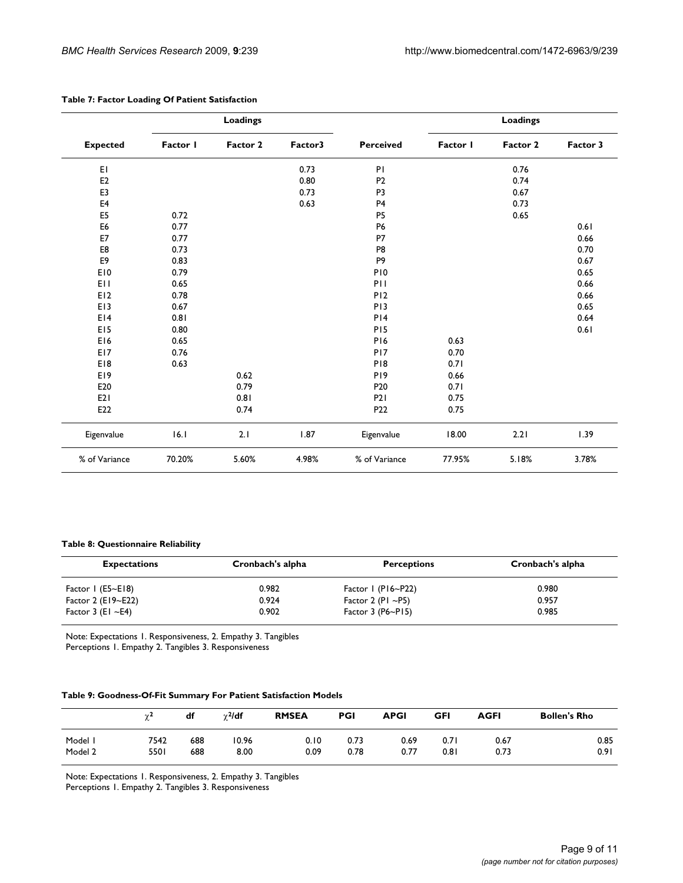|                 |          | <b>Loadings</b> |         |                  |          | <b>Loadings</b> |          |
|-----------------|----------|-----------------|---------|------------------|----------|-----------------|----------|
| <b>Expected</b> | Factor I | Factor 2        | Factor3 | <b>Perceived</b> | Factor I | Factor 2        | Factor 3 |
| EI              |          |                 | 0.73    | PI               |          | 0.76            |          |
| E <sub>2</sub>  |          |                 | 0.80    | P <sub>2</sub>   |          | 0.74            |          |
| E <sub>3</sub>  |          |                 | 0.73    | P <sub>3</sub>   |          | 0.67            |          |
| E <sub>4</sub>  |          |                 | 0.63    | P <sub>4</sub>   |          | 0.73            |          |
| E <sub>5</sub>  | 0.72     |                 |         | P <sub>5</sub>   |          | 0.65            |          |
| E <sub>6</sub>  | 0.77     |                 |         | P <sub>6</sub>   |          |                 | 0.61     |
| E7              | 0.77     |                 |         | <b>P7</b>        |          |                 | 0.66     |
| E8              | 0.73     |                 |         | P8               |          |                 | 0.70     |
| E9              | 0.83     |                 |         | P <sub>9</sub>   |          |                 | 0.67     |
| E <sub>10</sub> | 0.79     |                 |         | P <sub>10</sub>  |          |                 | 0.65     |
| EI I            | 0.65     |                 |         | PII              |          |                 | 0.66     |
| E12             | 0.78     |                 |         | PI2              |          |                 | 0.66     |
| E <sub>13</sub> | 0.67     |                 |         | PI3              |          |                 | 0.65     |
| E14             | 0.81     |                 |         | PI4              |          |                 | 0.64     |
| E <sub>15</sub> | 0.80     |                 |         | P <sub>15</sub>  |          |                 | 0.61     |
| E <sub>16</sub> | 0.65     |                 |         | P <sub>16</sub>  | 0.63     |                 |          |
| E17             | 0.76     |                 |         | PI7              | 0.70     |                 |          |
| E <sub>18</sub> | 0.63     |                 |         | P <sub>18</sub>  | 0.71     |                 |          |
| E <sub>19</sub> |          | 0.62            |         | P <sub>19</sub>  | 0.66     |                 |          |
| E20             |          | 0.79            |         | P <sub>20</sub>  | 0.71     |                 |          |
| E21             |          | 0.81            |         | P21              | 0.75     |                 |          |
| E <sub>22</sub> |          | 0.74            |         | P <sub>22</sub>  | 0.75     |                 |          |
| Eigenvalue      | 16.1     | 2.1             | 1.87    | Eigenvalue       | 18.00    | 2.21            | 1.39     |
| % of Variance   | 70.20%   | 5.60%           | 4.98%   | % of Variance    | 77.95%   | 5.18%           | 3.78%    |

## **Table 7: Factor Loading Of Patient Satisfaction**

#### **Table 8: Questionnaire Reliability**

| <b>Expectations</b>         | Cronbach's alpha | <b>Perceptions</b>       | Cronbach's alpha |
|-----------------------------|------------------|--------------------------|------------------|
| Factor $\mid$ (E5~E18)      | 0.982            | Factor $\vert$ (P16~P22) | 0.980            |
| Factor 2 ( $E19 \sim E22$ ) | 0.924            | Factor 2 (PI $\sim$ P5)  | 0.957            |
| Factor 3 (E1 $\sim$ E4)     | 0.902            | Factor $3$ (P6~P15)      | 0.985            |

Note: Expectations 1. Responsiveness, 2. Empathy 3. Tangibles Perceptions 1. Empathy 2. Tangibles 3. Responsiveness

## **Table 9: Goodness-Of-Fit Summary For Patient Satisfaction Models**

|         | $\gamma$ | df  | $\gamma^2$ /df | <b>RMSEA</b> | PGI  | <b>APGI</b> | GFI  | <b>AGFI</b> | <b>Bollen's Rho</b> |
|---------|----------|-----|----------------|--------------|------|-------------|------|-------------|---------------------|
| Model I | 7542     | 688 | 10.96          | 0.10         | 0.73 | 0.69        | 0.71 | 0.67        | 0.85                |
| Model 2 | 5501     | 688 | 8.00           | 0.09         | 0.78 | 0.77        | 0.81 | 0.73        | 0.91                |

Note: Expectations 1. Responsiveness, 2. Empathy 3. Tangibles

Perceptions 1. Empathy 2. Tangibles 3. Responsiveness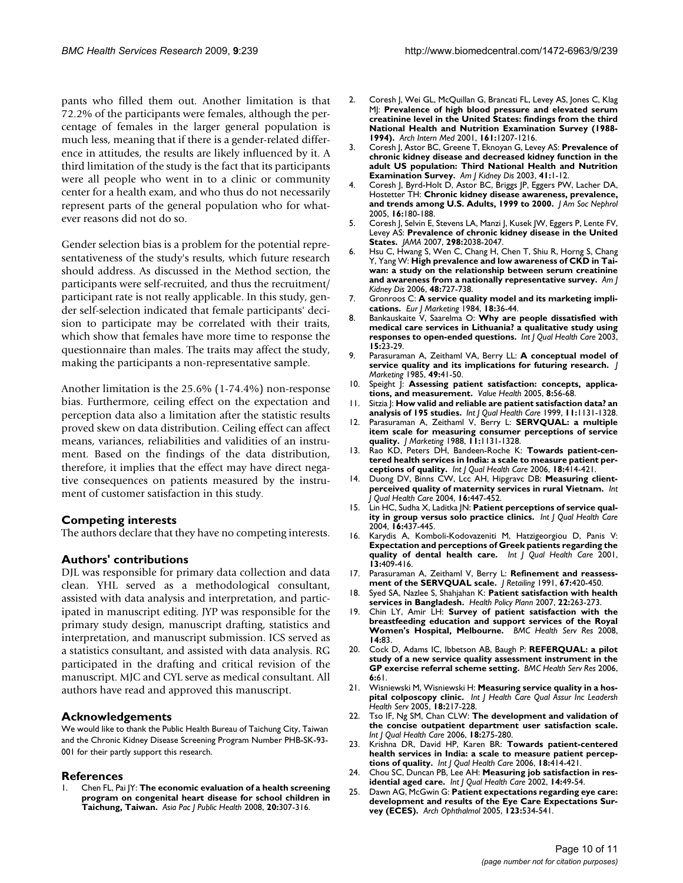pants who filled them out. Another limitation is that 72.2% of the participants were females, although the percentage of females in the larger general population is much less, meaning that if there is a gender-related difference in attitudes, the results are likely influenced by it. A third limitation of the study is the fact that its participants were all people who went in to a clinic or community center for a health exam, and who thus do not necessarily represent parts of the general population who for whatever reasons did not do so.

Gender selection bias is a problem for the potential representativeness of the study's results, which future research should address. As discussed in the Method section, the participants were self-recruited, and thus the recruitment/ participant rate is not really applicable. In this study, gender self-selection indicated that female participants' decision to participate may be correlated with their traits, which show that females have more time to response the questionnaire than males. The traits may affect the study, making the participants a non-representative sample.

Another limitation is the 25.6% (1-74.4%) non-response bias. Furthermore, ceiling effect on the expectation and perception data also a limitation after the statistic results proved skew on data distribution. Ceiling effect can affect means, variances, reliabilities and validities of an instrument. Based on the findings of the data distribution, therefore, it implies that the effect may have direct negative consequences on patients measured by the instrument of customer satisfaction in this study.

# **Competing interests**

The authors declare that they have no competing interests.

# **Authors' contributions**

DJL was responsible for primary data collection and data clean. YHL served as a methodological consultant, assisted with data analysis and interpretation, and participated in manuscript editing. JYP was responsible for the primary study design, manuscript drafting, statistics and interpretation, and manuscript submission. ICS served as a statistics consultant, and assisted with data analysis. RG participated in the drafting and critical revision of the manuscript. MJC and CYL serve as medical consultant. All authors have read and approved this manuscript.

#### **Acknowledgements**

We would like to thank the Public Health Bureau of Taichung City, Taiwan and the Chronic Kidney Disease Screening Program Number PHB-SK-93- 001 for their partly support this research.

#### **References**

1. Chen FL, Pai JY: **[The economic evaluation of a health screening](http://www.ncbi.nlm.nih.gov/entrez/query.fcgi?cmd=Retrieve&db=PubMed&dopt=Abstract&list_uids=19124325) [program on congenital heart disease for school children in](http://www.ncbi.nlm.nih.gov/entrez/query.fcgi?cmd=Retrieve&db=PubMed&dopt=Abstract&list_uids=19124325) [Taichung, Taiwan.](http://www.ncbi.nlm.nih.gov/entrez/query.fcgi?cmd=Retrieve&db=PubMed&dopt=Abstract&list_uids=19124325)** *Asia Pac J Public Health* 2008, **20:**307-316.

- 2. Coresh J, Wei GL, McQuillan G, Brancati FL, Levey AS, Jones C, Klag MJ: **[Prevalence of high blood pressure and elevated serum](http://www.ncbi.nlm.nih.gov/entrez/query.fcgi?cmd=Retrieve&db=PubMed&dopt=Abstract&list_uids=11343443) [creatinine level in the United States: findings from the third](http://www.ncbi.nlm.nih.gov/entrez/query.fcgi?cmd=Retrieve&db=PubMed&dopt=Abstract&list_uids=11343443) National Health and Nutrition Examination Survey (1988- [1994\).](http://www.ncbi.nlm.nih.gov/entrez/query.fcgi?cmd=Retrieve&db=PubMed&dopt=Abstract&list_uids=11343443)** *Arch Intern Med* 2001, **161:**1207-1216.
- 3. Coresh J, Astor BC, Greene T, Eknoyan G, Levey AS: **[Prevalence of](http://www.ncbi.nlm.nih.gov/entrez/query.fcgi?cmd=Retrieve&db=PubMed&dopt=Abstract&list_uids=12500213) [chronic kidney disease and decreased kidney function in the](http://www.ncbi.nlm.nih.gov/entrez/query.fcgi?cmd=Retrieve&db=PubMed&dopt=Abstract&list_uids=12500213) adult US population: Third National Health and Nutrition [Examination Survey.](http://www.ncbi.nlm.nih.gov/entrez/query.fcgi?cmd=Retrieve&db=PubMed&dopt=Abstract&list_uids=12500213)** *Am J Kidney Dis* 2003, **41:**1-12.
- 4. Coresh J, Byrd-Holt D, Astor BC, Briggs JP, Eggers PW, Lacher DA, Hostetter TH: **[Chronic kidney disease awareness, prevalence,](http://www.ncbi.nlm.nih.gov/entrez/query.fcgi?cmd=Retrieve&db=PubMed&dopt=Abstract&list_uids=15563563) [and trends among U.S. Adults, 1999 to 2000.](http://www.ncbi.nlm.nih.gov/entrez/query.fcgi?cmd=Retrieve&db=PubMed&dopt=Abstract&list_uids=15563563)** *J Am Soc Nephrol* 2005, **16:**180-188.
- 5. Coresh J, Selvin E, Stevens LA, Manzi J, Kusek JW, Eggers P, Lente FV, Levey AS: **[Prevalence of chronic kidney disease in the United](http://www.ncbi.nlm.nih.gov/entrez/query.fcgi?cmd=Retrieve&db=PubMed&dopt=Abstract&list_uids=17986697) [States.](http://www.ncbi.nlm.nih.gov/entrez/query.fcgi?cmd=Retrieve&db=PubMed&dopt=Abstract&list_uids=17986697)** *JAMA* 2007, **298:**2038-2047.
- 6. Hsu C, Hwang S, Wen C, Chang H, Chen T, Shiu R, Horng S, Chang Y, Yang W: **[High prevalence and low awareness of CKD in Tai](http://www.ncbi.nlm.nih.gov/entrez/query.fcgi?cmd=Retrieve&db=PubMed&dopt=Abstract&list_uids=17059992)[wan: a study on the relationship between serum creatinine](http://www.ncbi.nlm.nih.gov/entrez/query.fcgi?cmd=Retrieve&db=PubMed&dopt=Abstract&list_uids=17059992) [and awareness from a nationally representative survey.](http://www.ncbi.nlm.nih.gov/entrez/query.fcgi?cmd=Retrieve&db=PubMed&dopt=Abstract&list_uids=17059992)** *Am J Kidney Dis* 2006, **48:**727-738.
- 7. Gronroos C: **A service quality model and its marketing implications.** *Eur J Marketing* 1984, **18:**36-44.
- 8. Bankauskaite V, Saarelma O: **[Why are people dissatisfied with](http://www.ncbi.nlm.nih.gov/entrez/query.fcgi?cmd=Retrieve&db=PubMed&dopt=Abstract&list_uids=12630798) [medical care services in Lithuania? a qualitative study using](http://www.ncbi.nlm.nih.gov/entrez/query.fcgi?cmd=Retrieve&db=PubMed&dopt=Abstract&list_uids=12630798) [responses to open-ended questions.](http://www.ncbi.nlm.nih.gov/entrez/query.fcgi?cmd=Retrieve&db=PubMed&dopt=Abstract&list_uids=12630798)** *Int J Qual Health Care* 2003, **15:**23-29.
- 9. Parasuraman A, Zeithaml VA, Berry LL: **A conceptual model of service quality and its implications for futuring research.** *J Marketing* 1985, **49:**41-50.
- 10. Speight J: **Assessing patient satisfaction: concepts, applications, and measurement.** *Value Health* 2005, **8:**56-68.
- 11. Sitzia |: **How valid and reliable are patient satisfaction data? an analysis of 195 studies.** *Int J Qual Health Care* 1999, **11:**1131-1328.
- 12. Parasuraman A, Zeithaml V, Berry L: **SERVQUAL: a multiple item scale for measuring consumer perceptions of service quality.** *J Marketing* 1988, **11:**1131-1328.
- 13. Rao KD, Peters DH, Bandeen-Roche K: **[Towards patient-cen](http://www.ncbi.nlm.nih.gov/entrez/query.fcgi?cmd=Retrieve&db=PubMed&dopt=Abstract&list_uids=17012306)[tered health services in India: a scale to measure patient per](http://www.ncbi.nlm.nih.gov/entrez/query.fcgi?cmd=Retrieve&db=PubMed&dopt=Abstract&list_uids=17012306)[ceptions of quality.](http://www.ncbi.nlm.nih.gov/entrez/query.fcgi?cmd=Retrieve&db=PubMed&dopt=Abstract&list_uids=17012306)** *Int J Qual Health Care* 2006, **18:**414-421.
- 14. Duong DV, Binns CW, Lcc AH, Hipgravc DB: **[Measuring client](http://www.ncbi.nlm.nih.gov/entrez/query.fcgi?cmd=Retrieve&db=PubMed&dopt=Abstract&list_uids=15557354)[perceived quality of maternity services in rural Vietnam.](http://www.ncbi.nlm.nih.gov/entrez/query.fcgi?cmd=Retrieve&db=PubMed&dopt=Abstract&list_uids=15557354)** *Int J Qual Health Care* 2004, **16:**447-452.
- 15. Lin HC, Sudha X, Laditka JN: **[Patient perceptions of service qual](http://www.ncbi.nlm.nih.gov/entrez/query.fcgi?cmd=Retrieve&db=PubMed&dopt=Abstract&list_uids=15557353)[ity in group versus solo practice clinics.](http://www.ncbi.nlm.nih.gov/entrez/query.fcgi?cmd=Retrieve&db=PubMed&dopt=Abstract&list_uids=15557353)** *Int J Qual Health Care* 2004, **16:**437-445.
- 16. Karydis A, Komboli-Kodovazeniti M, Hatzigeorgiou D, Panis V: **[Expectation and perceptions of Greek patients regarding the](http://www.ncbi.nlm.nih.gov/entrez/query.fcgi?cmd=Retrieve&db=PubMed&dopt=Abstract&list_uids=11669569) [quality of dental health care.](http://www.ncbi.nlm.nih.gov/entrez/query.fcgi?cmd=Retrieve&db=PubMed&dopt=Abstract&list_uids=11669569)** *Int J Qual Health Care* 2001, **13:**409-416.
- 17. Parasuraman A, Zeithaml V, Berry L: **Refinement and reassessment of the SERVQUAL scale.** *J Retailing* 1991, **67:**420-450.
- 18. Syed SA, Nazlee S, Shahjahan K: **Patient satisfaction with health services in Bangladesh.** *Health Policy Plann* 2007, **22:**263-273.
- 19. Chin LY, Amir LH: **Survey of patient satisfaction with the breastfeeding education and support services of the Royal Women's Hospital, Melbourne.** *BMC Health Serv Res* 2008, **14:**83.
- 20. Cock D, Adams IC, Ibbetson AB, Baugh P: **[REFERQUAL: a pilot](http://www.ncbi.nlm.nih.gov/entrez/query.fcgi?cmd=Retrieve&db=PubMed&dopt=Abstract&list_uids=16725021) [study of a new service quality assessment instrument in the](http://www.ncbi.nlm.nih.gov/entrez/query.fcgi?cmd=Retrieve&db=PubMed&dopt=Abstract&list_uids=16725021) [GP exercise referral scheme setting.](http://www.ncbi.nlm.nih.gov/entrez/query.fcgi?cmd=Retrieve&db=PubMed&dopt=Abstract&list_uids=16725021)** *BMC Health Serv Res* 2006, **6:**61.
- 21. Wisniewski M, Wisniewski H: **[Measuring service quality in a hos](http://www.ncbi.nlm.nih.gov/entrez/query.fcgi?cmd=Retrieve&db=PubMed&dopt=Abstract&list_uids=15974517)[pital colposcopy clinic.](http://www.ncbi.nlm.nih.gov/entrez/query.fcgi?cmd=Retrieve&db=PubMed&dopt=Abstract&list_uids=15974517)** *Int J Health Care Qual Assur Inc Leadersh Health Serv* 2005, **18:**217-228.
- 22. Tso IF, Ng SM, Chan CLW: **[The development and validation of](http://www.ncbi.nlm.nih.gov/entrez/query.fcgi?cmd=Retrieve&db=PubMed&dopt=Abstract&list_uids=16855297) [the concise outpatient department user satisfaction scale.](http://www.ncbi.nlm.nih.gov/entrez/query.fcgi?cmd=Retrieve&db=PubMed&dopt=Abstract&list_uids=16855297)** *Int J Qual Health Care* 2006, **18:**275-280.
- 23. Krishna DR, David HP, Karen BR: **[Towards patient-centered](http://www.ncbi.nlm.nih.gov/entrez/query.fcgi?cmd=Retrieve&db=PubMed&dopt=Abstract&list_uids=17012306) [health services in India: a scale to measure patient percep](http://www.ncbi.nlm.nih.gov/entrez/query.fcgi?cmd=Retrieve&db=PubMed&dopt=Abstract&list_uids=17012306)[tions of quality.](http://www.ncbi.nlm.nih.gov/entrez/query.fcgi?cmd=Retrieve&db=PubMed&dopt=Abstract&list_uids=17012306)** *Int J Qual Health Care* 2006, **18:**414-421.
- 24. Chou SC, Duncan PB, Lee AH: **[Measuring job satisfaction in res](http://www.ncbi.nlm.nih.gov/entrez/query.fcgi?cmd=Retrieve&db=PubMed&dopt=Abstract&list_uids=11871629)[idential aged care.](http://www.ncbi.nlm.nih.gov/entrez/query.fcgi?cmd=Retrieve&db=PubMed&dopt=Abstract&list_uids=11871629)** *Int J Qual Health Care* 2002, **14:**49-54.
- 25. Dawn AG, McGwin G: **[Patient expectations regarding eye care:](http://www.ncbi.nlm.nih.gov/entrez/query.fcgi?cmd=Retrieve&db=PubMed&dopt=Abstract&list_uids=15824228) [development and results of the Eye Care Expectations Sur](http://www.ncbi.nlm.nih.gov/entrez/query.fcgi?cmd=Retrieve&db=PubMed&dopt=Abstract&list_uids=15824228)[vey \(ECES\).](http://www.ncbi.nlm.nih.gov/entrez/query.fcgi?cmd=Retrieve&db=PubMed&dopt=Abstract&list_uids=15824228)** *Arch Ophthalmol* 2005, **123:**534-541.